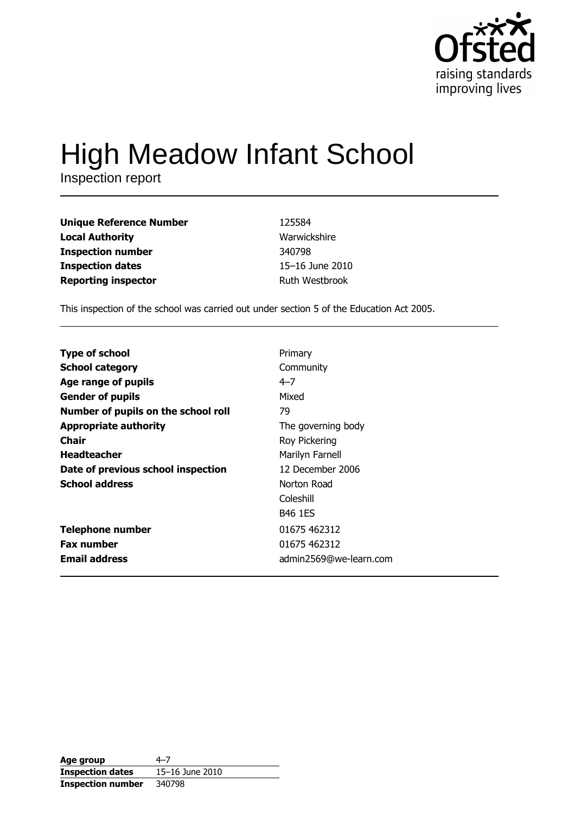

# **High Meadow Infant School**

Inspection report

| <b>Unique Reference Number</b> | 125584          |
|--------------------------------|-----------------|
| <b>Local Authority</b>         | Warwickshire    |
| <b>Inspection number</b>       | 340798          |
| <b>Inspection dates</b>        | 15-16 June 2010 |
| <b>Reporting inspector</b>     | Ruth Westbrook  |

This inspection of the school was carried out under section 5 of the Education Act 2005.

| Age group                | $4 - 7$         |
|--------------------------|-----------------|
| <b>Inspection dates</b>  | 15-16 June 2010 |
| <b>Inspection number</b> | 340798          |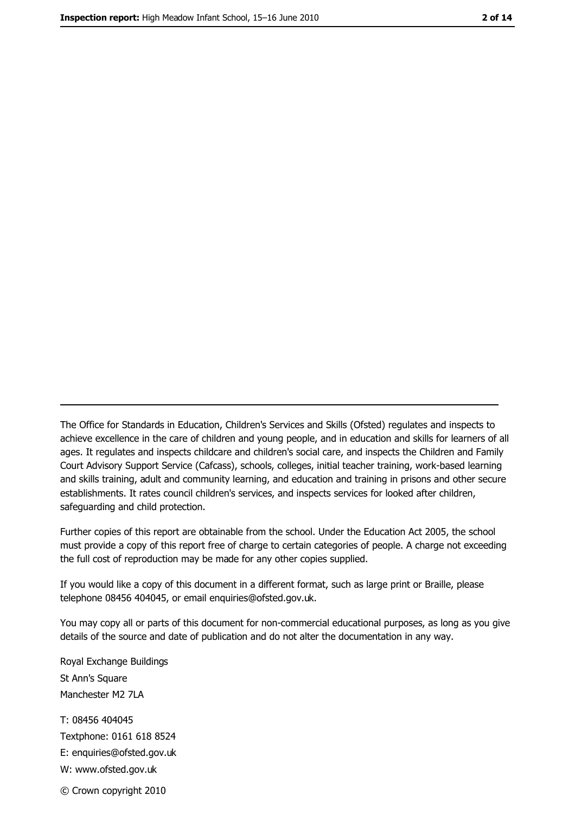The Office for Standards in Education, Children's Services and Skills (Ofsted) regulates and inspects to achieve excellence in the care of children and young people, and in education and skills for learners of all ages. It regulates and inspects childcare and children's social care, and inspects the Children and Family Court Advisory Support Service (Cafcass), schools, colleges, initial teacher training, work-based learning and skills training, adult and community learning, and education and training in prisons and other secure establishments. It rates council children's services, and inspects services for looked after children, safequarding and child protection.

Further copies of this report are obtainable from the school. Under the Education Act 2005, the school must provide a copy of this report free of charge to certain categories of people. A charge not exceeding the full cost of reproduction may be made for any other copies supplied.

If you would like a copy of this document in a different format, such as large print or Braille, please telephone 08456 404045, or email enquiries@ofsted.gov.uk.

You may copy all or parts of this document for non-commercial educational purposes, as long as you give details of the source and date of publication and do not alter the documentation in any way.

Royal Exchange Buildings St Ann's Square Manchester M2 7LA T: 08456 404045 Textphone: 0161 618 8524 E: enquiries@ofsted.gov.uk W: www.ofsted.gov.uk © Crown copyright 2010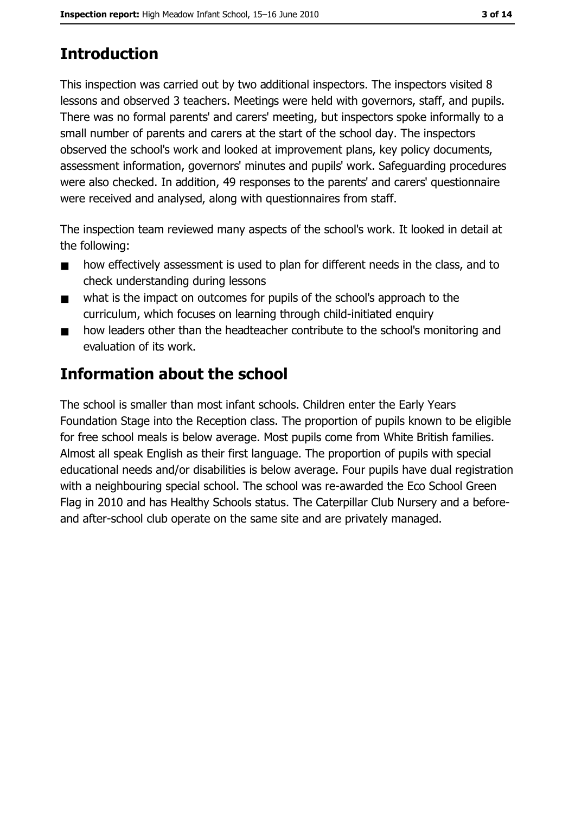# **Introduction**

This inspection was carried out by two additional inspectors. The inspectors visited 8 lessons and observed 3 teachers. Meetings were held with governors, staff, and pupils. There was no formal parents' and carers' meeting, but inspectors spoke informally to a small number of parents and carers at the start of the school day. The inspectors observed the school's work and looked at improvement plans, key policy documents, assessment information, governors' minutes and pupils' work. Safeguarding procedures were also checked. In addition, 49 responses to the parents' and carers' questionnaire were received and analysed, along with questionnaires from staff.

The inspection team reviewed many aspects of the school's work. It looked in detail at the following:

- how effectively assessment is used to plan for different needs in the class, and to  $\blacksquare$ check understanding during lessons
- what is the impact on outcomes for pupils of the school's approach to the  $\blacksquare$ curriculum, which focuses on learning through child-initiated enguiry
- how leaders other than the headteacher contribute to the school's monitoring and  $\blacksquare$ evaluation of its work.

# **Information about the school**

The school is smaller than most infant schools. Children enter the Early Years Foundation Stage into the Reception class. The proportion of pupils known to be eligible for free school meals is below average. Most pupils come from White British families. Almost all speak English as their first language. The proportion of pupils with special educational needs and/or disabilities is below average. Four pupils have dual registration with a neighbouring special school. The school was re-awarded the Eco School Green Flag in 2010 and has Healthy Schools status. The Caterpillar Club Nursery and a beforeand after-school club operate on the same site and are privately managed.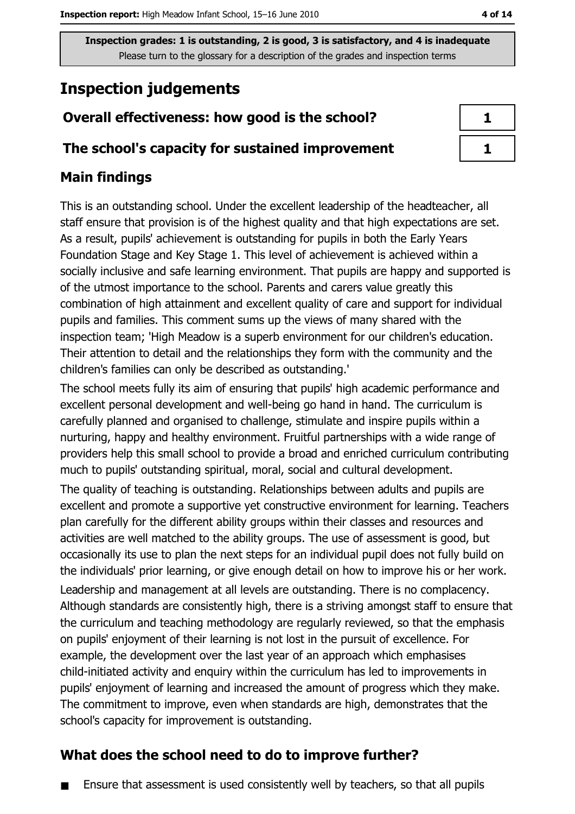# **Inspection judgements**

## Overall effectiveness: how good is the school?

#### The school's capacity for sustained improvement

## **Main findings**

This is an outstanding school. Under the excellent leadership of the headteacher, all staff ensure that provision is of the highest quality and that high expectations are set. As a result, pupils' achievement is outstanding for pupils in both the Early Years Foundation Stage and Key Stage 1. This level of achievement is achieved within a socially inclusive and safe learning environment. That pupils are happy and supported is of the utmost importance to the school. Parents and carers value greatly this combination of high attainment and excellent quality of care and support for individual pupils and families. This comment sums up the views of many shared with the inspection team; 'High Meadow is a superb environment for our children's education. Their attention to detail and the relationships they form with the community and the children's families can only be described as outstanding.'

The school meets fully its aim of ensuring that pupils' high academic performance and excellent personal development and well-being go hand in hand. The curriculum is carefully planned and organised to challenge, stimulate and inspire pupils within a nurturing, happy and healthy environment. Fruitful partnerships with a wide range of providers help this small school to provide a broad and enriched curriculum contributing much to pupils' outstanding spiritual, moral, social and cultural development.

The quality of teaching is outstanding. Relationships between adults and pupils are excellent and promote a supportive yet constructive environment for learning. Teachers plan carefully for the different ability groups within their classes and resources and activities are well matched to the ability groups. The use of assessment is good, but occasionally its use to plan the next steps for an individual pupil does not fully build on the individuals' prior learning, or give enough detail on how to improve his or her work.

Leadership and management at all levels are outstanding. There is no complacency. Although standards are consistently high, there is a striving amongst staff to ensure that the curriculum and teaching methodology are regularly reviewed, so that the emphasis on pupils' enjoyment of their learning is not lost in the pursuit of excellence. For example, the development over the last year of an approach which emphasises child-initiated activity and enguiry within the curriculum has led to improvements in pupils' enjoyment of learning and increased the amount of progress which they make. The commitment to improve, even when standards are high, demonstrates that the school's capacity for improvement is outstanding.

## What does the school need to do to improve further?

Ensure that assessment is used consistently well by teachers, so that all pupils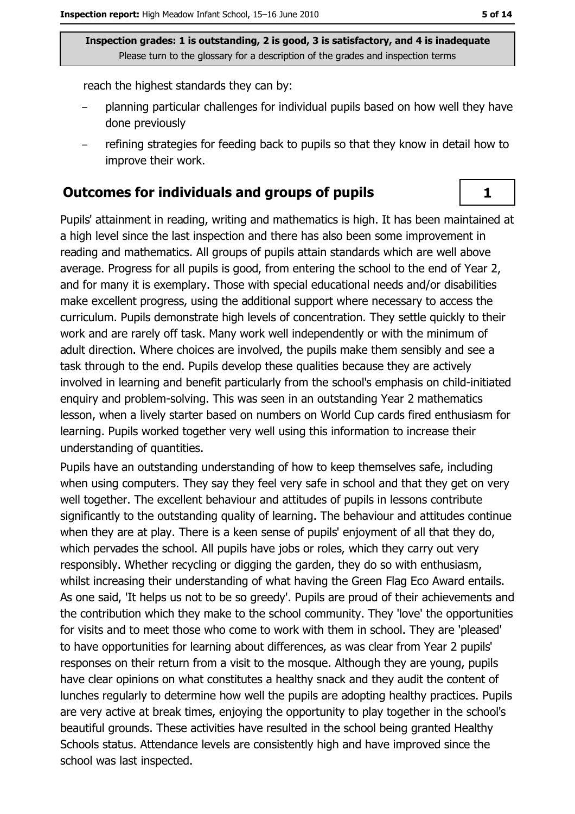reach the highest standards they can by:

- planning particular challenges for individual pupils based on how well they have done previously
- refining strategies for feeding back to pupils so that they know in detail how to improve their work.

#### **Outcomes for individuals and groups of pupils**

Pupils' attainment in reading, writing and mathematics is high. It has been maintained at a high level since the last inspection and there has also been some improvement in reading and mathematics. All groups of pupils attain standards which are well above average. Progress for all pupils is good, from entering the school to the end of Year 2, and for many it is exemplary. Those with special educational needs and/or disabilities make excellent progress, using the additional support where necessary to access the curriculum. Pupils demonstrate high levels of concentration. They settle quickly to their work and are rarely off task. Many work well independently or with the minimum of adult direction. Where choices are involved, the pupils make them sensibly and see a task through to the end. Pupils develop these qualities because they are actively involved in learning and benefit particularly from the school's emphasis on child-initiated enquiry and problem-solving. This was seen in an outstanding Year 2 mathematics lesson, when a lively starter based on numbers on World Cup cards fired enthusiasm for learning. Pupils worked together very well using this information to increase their understanding of quantities.

Pupils have an outstanding understanding of how to keep themselves safe, including when using computers. They say they feel very safe in school and that they get on very well together. The excellent behaviour and attitudes of pupils in lessons contribute significantly to the outstanding quality of learning. The behaviour and attitudes continue when they are at play. There is a keen sense of pupils' enjoyment of all that they do, which pervades the school. All pupils have jobs or roles, which they carry out very responsibly. Whether recycling or digging the garden, they do so with enthusiasm, whilst increasing their understanding of what having the Green Flag Eco Award entails. As one said, 'It helps us not to be so greedy'. Pupils are proud of their achievements and the contribution which they make to the school community. They 'love' the opportunities for visits and to meet those who come to work with them in school. They are 'pleased' to have opportunities for learning about differences, as was clear from Year 2 pupils' responses on their return from a visit to the mosque. Although they are young, pupils have clear opinions on what constitutes a healthy snack and they audit the content of lunches regularly to determine how well the pupils are adopting healthy practices. Pupils are very active at break times, enjoying the opportunity to play together in the school's beautiful grounds. These activities have resulted in the school being granted Healthy Schools status. Attendance levels are consistently high and have improved since the school was last inspected.

 $\mathbf{1}$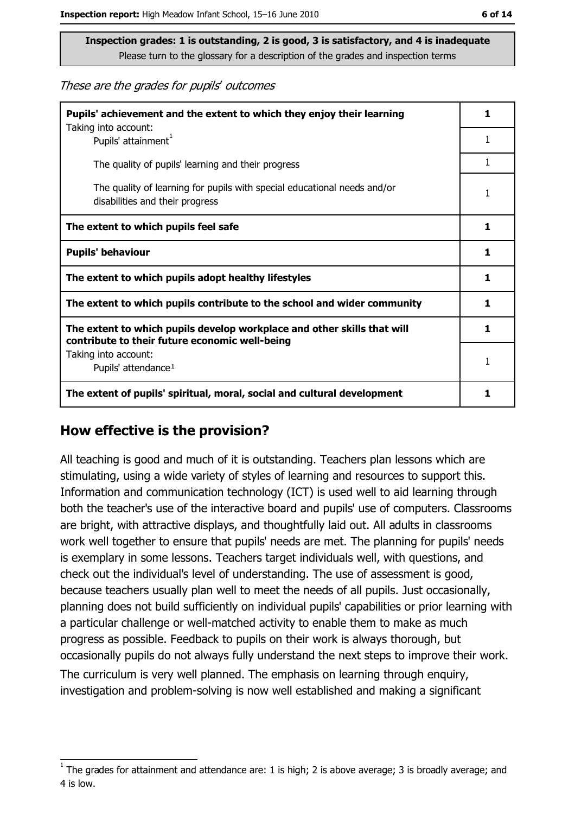These are the grades for pupils' outcomes

| Pupils' achievement and the extent to which they enjoy their learning                                                     |   |
|---------------------------------------------------------------------------------------------------------------------------|---|
| Taking into account:<br>Pupils' attainment <sup>1</sup>                                                                   | 1 |
| The quality of pupils' learning and their progress                                                                        | 1 |
| The quality of learning for pupils with special educational needs and/or<br>disabilities and their progress               | 1 |
| The extent to which pupils feel safe                                                                                      |   |
| <b>Pupils' behaviour</b>                                                                                                  |   |
| The extent to which pupils adopt healthy lifestyles                                                                       |   |
| The extent to which pupils contribute to the school and wider community                                                   |   |
| The extent to which pupils develop workplace and other skills that will<br>contribute to their future economic well-being |   |
| Taking into account:<br>Pupils' attendance <sup>1</sup>                                                                   |   |
| The extent of pupils' spiritual, moral, social and cultural development                                                   |   |

#### How effective is the provision?

All teaching is good and much of it is outstanding. Teachers plan lessons which are stimulating, using a wide variety of styles of learning and resources to support this. Information and communication technology (ICT) is used well to aid learning through both the teacher's use of the interactive board and pupils' use of computers. Classrooms are bright, with attractive displays, and thoughtfully laid out. All adults in classrooms work well together to ensure that pupils' needs are met. The planning for pupils' needs is exemplary in some lessons. Teachers target individuals well, with questions, and check out the individual's level of understanding. The use of assessment is good, because teachers usually plan well to meet the needs of all pupils. Just occasionally, planning does not build sufficiently on individual pupils' capabilities or prior learning with a particular challenge or well-matched activity to enable them to make as much progress as possible. Feedback to pupils on their work is always thorough, but occasionally pupils do not always fully understand the next steps to improve their work. The curriculum is very well planned. The emphasis on learning through enguiry, investigation and problem-solving is now well established and making a significant

The grades for attainment and attendance are: 1 is high; 2 is above average; 3 is broadly average; and 4 is low.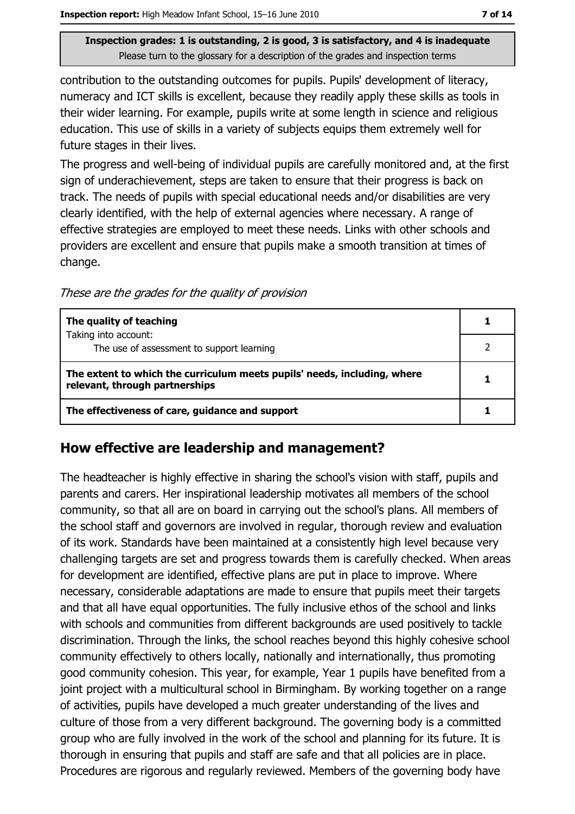contribution to the outstanding outcomes for pupils. Pupils' development of literacy, numeracy and ICT skills is excellent, because they readily apply these skills as tools in their wider learning. For example, pupils write at some length in science and religious education. This use of skills in a variety of subjects equips them extremely well for future stages in their lives.

The progress and well-being of individual pupils are carefully monitored and, at the first sign of underachievement, steps are taken to ensure that their progress is back on track. The needs of pupils with special educational needs and/or disabilities are very clearly identified, with the help of external agencies where necessary. A range of effective strategies are employed to meet these needs. Links with other schools and providers are excellent and ensure that pupils make a smooth transition at times of change.

These are the grades for the quality of provision

| The quality of teaching                                                                                    |  |
|------------------------------------------------------------------------------------------------------------|--|
| Taking into account:<br>The use of assessment to support learning                                          |  |
| The extent to which the curriculum meets pupils' needs, including, where<br>relevant, through partnerships |  |
| The effectiveness of care, guidance and support                                                            |  |

#### How effective are leadership and management?

The headteacher is highly effective in sharing the school's vision with staff, pupils and parents and carers. Her inspirational leadership motivates all members of the school community, so that all are on board in carrying out the school's plans. All members of the school staff and governors are involved in regular, thorough review and evaluation of its work. Standards have been maintained at a consistently high level because very challenging targets are set and progress towards them is carefully checked. When areas for development are identified, effective plans are put in place to improve. Where necessary, considerable adaptations are made to ensure that pupils meet their targets and that all have equal opportunities. The fully inclusive ethos of the school and links with schools and communities from different backgrounds are used positively to tackle discrimination. Through the links, the school reaches beyond this highly cohesive school community effectively to others locally, nationally and internationally, thus promoting good community cohesion. This year, for example, Year 1 pupils have benefited from a joint project with a multicultural school in Birmingham. By working together on a range of activities, pupils have developed a much greater understanding of the lives and culture of those from a very different background. The governing body is a committed group who are fully involved in the work of the school and planning for its future. It is thorough in ensuring that pupils and staff are safe and that all policies are in place. Procedures are rigorous and regularly reviewed. Members of the governing body have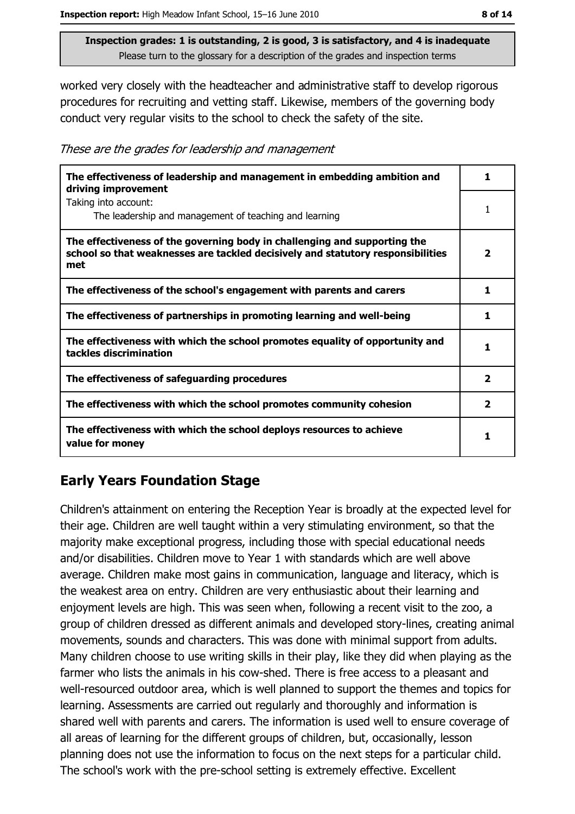worked very closely with the headteacher and administrative staff to develop rigorous procedures for recruiting and vetting staff. Likewise, members of the governing body conduct very regular visits to the school to check the safety of the site.

These are the grades for leadership and management

| The effectiveness of leadership and management in embedding ambition and<br>driving improvement                                                                     | 1                       |
|---------------------------------------------------------------------------------------------------------------------------------------------------------------------|-------------------------|
| Taking into account:<br>The leadership and management of teaching and learning                                                                                      |                         |
| The effectiveness of the governing body in challenging and supporting the<br>school so that weaknesses are tackled decisively and statutory responsibilities<br>met | $\overline{\mathbf{2}}$ |
| The effectiveness of the school's engagement with parents and carers                                                                                                | 1                       |
| The effectiveness of partnerships in promoting learning and well-being                                                                                              | 1                       |
| The effectiveness with which the school promotes equality of opportunity and<br>tackles discrimination                                                              | 1                       |
| The effectiveness of safeguarding procedures                                                                                                                        | $\overline{\mathbf{2}}$ |
| The effectiveness with which the school promotes community cohesion                                                                                                 | $\overline{\mathbf{2}}$ |
| The effectiveness with which the school deploys resources to achieve<br>value for money                                                                             |                         |

## **Early Years Foundation Stage**

Children's attainment on entering the Reception Year is broadly at the expected level for their age. Children are well taught within a very stimulating environment, so that the majority make exceptional progress, including those with special educational needs and/or disabilities. Children move to Year 1 with standards which are well above average. Children make most gains in communication, language and literacy, which is the weakest area on entry. Children are very enthusiastic about their learning and enjoyment levels are high. This was seen when, following a recent visit to the zoo, a group of children dressed as different animals and developed story-lines, creating animal movements, sounds and characters. This was done with minimal support from adults. Many children choose to use writing skills in their play, like they did when playing as the farmer who lists the animals in his cow-shed. There is free access to a pleasant and well-resourced outdoor area, which is well planned to support the themes and topics for learning. Assessments are carried out regularly and thoroughly and information is shared well with parents and carers. The information is used well to ensure coverage of all areas of learning for the different groups of children, but, occasionally, lesson planning does not use the information to focus on the next steps for a particular child. The school's work with the pre-school setting is extremely effective. Excellent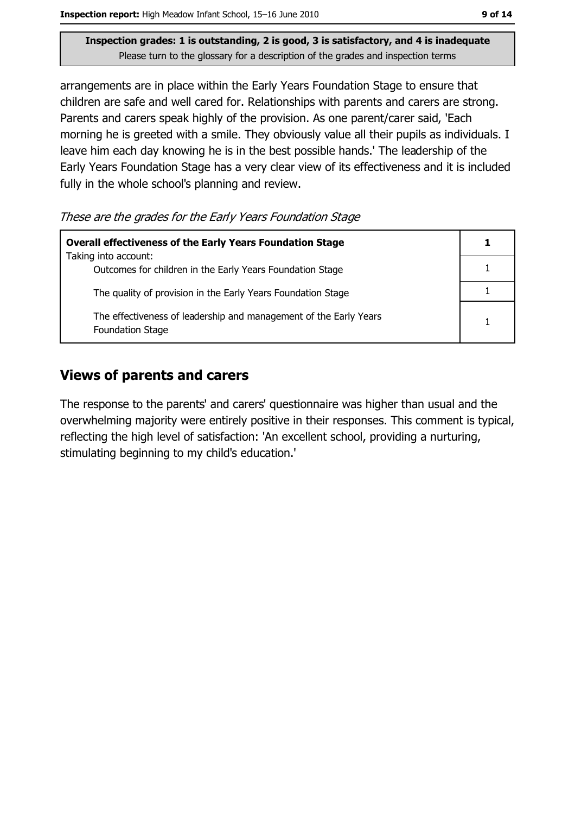Inspection report: High Meadow Infant School, 15-16 June 2010

Inspection grades: 1 is outstanding, 2 is good, 3 is satisfactory, and 4 is inadequate Please turn to the glossary for a description of the grades and inspection terms

arrangements are in place within the Early Years Foundation Stage to ensure that children are safe and well cared for. Relationships with parents and carers are strong. Parents and carers speak highly of the provision. As one parent/carer said, 'Each morning he is greeted with a smile. They obviously value all their pupils as individuals. I leave him each day knowing he is in the best possible hands.' The leadership of the Early Years Foundation Stage has a very clear view of its effectiveness and it is included fully in the whole school's planning and review.

These are the grades for the Early Years Foundation Stage

| <b>Overall effectiveness of the Early Years Foundation Stage</b><br>Taking into account:     |  |
|----------------------------------------------------------------------------------------------|--|
| Outcomes for children in the Early Years Foundation Stage                                    |  |
| The quality of provision in the Early Years Foundation Stage                                 |  |
| The effectiveness of leadership and management of the Early Years<br><b>Foundation Stage</b> |  |

## **Views of parents and carers**

The response to the parents' and carers' questionnaire was higher than usual and the overwhelming majority were entirely positive in their responses. This comment is typical, reflecting the high level of satisfaction: 'An excellent school, providing a nurturing, stimulating beginning to my child's education.'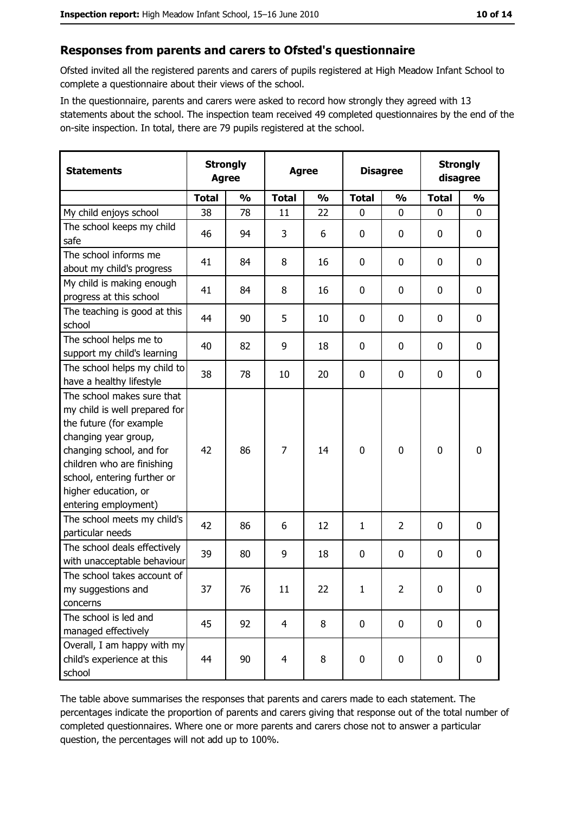## Responses from parents and carers to Ofsted's questionnaire

Ofsted invited all the registered parents and carers of pupils registered at High Meadow Infant School to complete a questionnaire about their views of the school.

In the questionnaire, parents and carers were asked to record how strongly they agreed with 13 statements about the school. The inspection team received 49 completed questionnaires by the end of the on-site inspection. In total, there are 79 pupils registered at the school.

| <b>Statements</b>                                                                                                                                                                                                                                       | <b>Strongly</b><br><b>Agree</b> |               | <b>Agree</b>   |               |                | <b>Disagree</b> |              | <b>Strongly</b><br>disagree |  |
|---------------------------------------------------------------------------------------------------------------------------------------------------------------------------------------------------------------------------------------------------------|---------------------------------|---------------|----------------|---------------|----------------|-----------------|--------------|-----------------------------|--|
|                                                                                                                                                                                                                                                         | <b>Total</b>                    | $\frac{0}{0}$ | <b>Total</b>   | $\frac{0}{0}$ | <b>Total</b>   | $\frac{0}{0}$   | <b>Total</b> | $\frac{0}{0}$               |  |
| My child enjoys school                                                                                                                                                                                                                                  | 38                              | 78            | 11             | 22            | $\mathbf{0}$   | 0               | $\mathbf{0}$ | $\mathbf{0}$                |  |
| The school keeps my child<br>safe                                                                                                                                                                                                                       | 46                              | 94            | 3              | 6             | 0              | 0               | $\mathbf{0}$ | 0                           |  |
| The school informs me<br>about my child's progress                                                                                                                                                                                                      | 41                              | 84            | 8              | 16            | 0              | 0               | 0            | 0                           |  |
| My child is making enough<br>progress at this school                                                                                                                                                                                                    | 41                              | 84            | 8              | 16            | $\mathbf 0$    | 0               | 0            | 0                           |  |
| The teaching is good at this<br>school                                                                                                                                                                                                                  | 44                              | 90            | 5              | 10            | $\mathbf 0$    | 0               | 0            | 0                           |  |
| The school helps me to<br>support my child's learning                                                                                                                                                                                                   | 40                              | 82            | 9              | 18            | $\mathbf 0$    | 0               | 0            | 0                           |  |
| The school helps my child to<br>have a healthy lifestyle                                                                                                                                                                                                | 38                              | 78            | 10             | 20            | $\mathbf 0$    | 0               | 0            | 0                           |  |
| The school makes sure that<br>my child is well prepared for<br>the future (for example<br>changing year group,<br>changing school, and for<br>children who are finishing<br>school, entering further or<br>higher education, or<br>entering employment) | 42                              | 86            | 7              | 14            | $\overline{0}$ | 0               | $\mathbf 0$  | 0                           |  |
| The school meets my child's<br>particular needs                                                                                                                                                                                                         | 42                              | 86            | 6              | 12            | $\mathbf{1}$   | $\overline{2}$  | 0            | 0                           |  |
| The school deals effectively<br>with unacceptable behaviour                                                                                                                                                                                             | 39                              | 80            | 9              | 18            | $\mathbf 0$    | 0               | $\mathbf 0$  | 0                           |  |
| The school takes account of<br>my suggestions and<br>concerns                                                                                                                                                                                           | 37                              | 76            | 11             | 22            | $\mathbf{1}$   | 2               | 0            | 0                           |  |
| The school is led and<br>managed effectively                                                                                                                                                                                                            | 45                              | 92            | $\overline{4}$ | 8             | $\mathbf 0$    | 0               | $\mathbf 0$  | $\mathbf 0$                 |  |
| Overall, I am happy with my<br>child's experience at this<br>school                                                                                                                                                                                     | 44                              | 90            | 4              | 8             | $\mathbf 0$    | 0               | $\mathbf 0$  | 0                           |  |

The table above summarises the responses that parents and carers made to each statement. The percentages indicate the proportion of parents and carers giving that response out of the total number of completed questionnaires. Where one or more parents and carers chose not to answer a particular question, the percentages will not add up to 100%.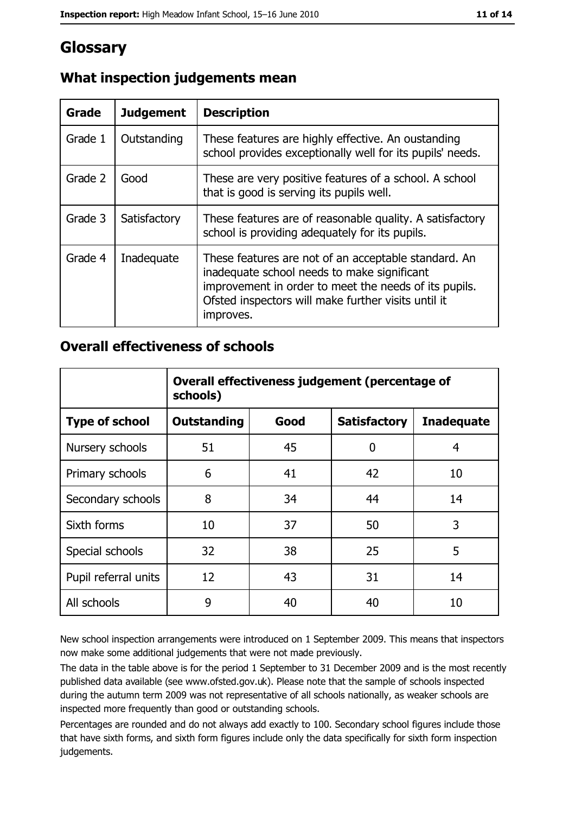# Glossary

| <b>Grade</b> | <b>Judgement</b> | <b>Description</b>                                                                                                                                                                                                               |  |
|--------------|------------------|----------------------------------------------------------------------------------------------------------------------------------------------------------------------------------------------------------------------------------|--|
| Grade 1      | Outstanding      | These features are highly effective. An oustanding<br>school provides exceptionally well for its pupils' needs.                                                                                                                  |  |
| Grade 2      | Good             | These are very positive features of a school. A school<br>that is good is serving its pupils well.                                                                                                                               |  |
| Grade 3      | Satisfactory     | These features are of reasonable quality. A satisfactory<br>school is providing adequately for its pupils.                                                                                                                       |  |
| Grade 4      | Inadequate       | These features are not of an acceptable standard. An<br>inadequate school needs to make significant<br>improvement in order to meet the needs of its pupils.<br>Ofsted inspectors will make further visits until it<br>improves. |  |

# What inspection judgements mean

## **Overall effectiveness of schools**

|                       | Overall effectiveness judgement (percentage of<br>schools) |      |                     |                   |
|-----------------------|------------------------------------------------------------|------|---------------------|-------------------|
| <b>Type of school</b> | <b>Outstanding</b>                                         | Good | <b>Satisfactory</b> | <b>Inadequate</b> |
| Nursery schools       | 51                                                         | 45   | 0                   | 4                 |
| Primary schools       | 6                                                          | 41   | 42                  | 10                |
| Secondary schools     | 8                                                          | 34   | 44                  | 14                |
| Sixth forms           | 10                                                         | 37   | 50                  | 3                 |
| Special schools       | 32                                                         | 38   | 25                  | 5                 |
| Pupil referral units  | 12                                                         | 43   | 31                  | 14                |
| All schools           | 9                                                          | 40   | 40                  | 10                |

New school inspection arrangements were introduced on 1 September 2009. This means that inspectors now make some additional judgements that were not made previously.

The data in the table above is for the period 1 September to 31 December 2009 and is the most recently published data available (see www.ofsted.gov.uk). Please note that the sample of schools inspected during the autumn term 2009 was not representative of all schools nationally, as weaker schools are inspected more frequently than good or outstanding schools.

Percentages are rounded and do not always add exactly to 100. Secondary school figures include those that have sixth forms, and sixth form figures include only the data specifically for sixth form inspection judgements.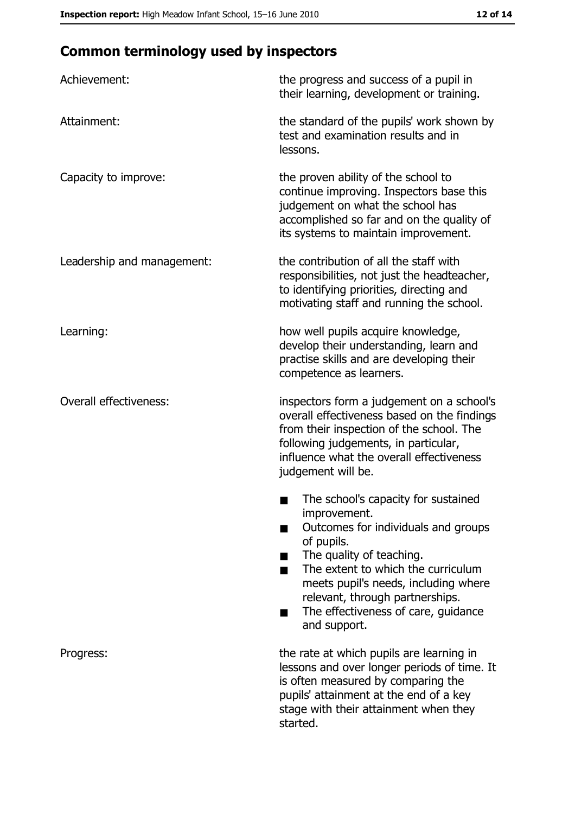# **Common terminology used by inspectors**

| Achievement:                  | the progress and success of a pupil in<br>their learning, development or training.                                                                                                                                                                                                                           |
|-------------------------------|--------------------------------------------------------------------------------------------------------------------------------------------------------------------------------------------------------------------------------------------------------------------------------------------------------------|
| Attainment:                   | the standard of the pupils' work shown by<br>test and examination results and in<br>lessons.                                                                                                                                                                                                                 |
| Capacity to improve:          | the proven ability of the school to<br>continue improving. Inspectors base this<br>judgement on what the school has<br>accomplished so far and on the quality of<br>its systems to maintain improvement.                                                                                                     |
| Leadership and management:    | the contribution of all the staff with<br>responsibilities, not just the headteacher,<br>to identifying priorities, directing and<br>motivating staff and running the school.                                                                                                                                |
| Learning:                     | how well pupils acquire knowledge,<br>develop their understanding, learn and<br>practise skills and are developing their<br>competence as learners.                                                                                                                                                          |
| <b>Overall effectiveness:</b> | inspectors form a judgement on a school's<br>overall effectiveness based on the findings<br>from their inspection of the school. The<br>following judgements, in particular,<br>influence what the overall effectiveness<br>judgement will be.                                                               |
|                               | The school's capacity for sustained<br>improvement.<br>Outcomes for individuals and groups<br>of pupils.<br>The quality of teaching.<br>The extent to which the curriculum<br>meets pupil's needs, including where<br>relevant, through partnerships.<br>The effectiveness of care, guidance<br>and support. |
| Progress:                     | the rate at which pupils are learning in<br>lessons and over longer periods of time. It<br>is often measured by comparing the<br>pupils' attainment at the end of a key<br>stage with their attainment when they<br>started.                                                                                 |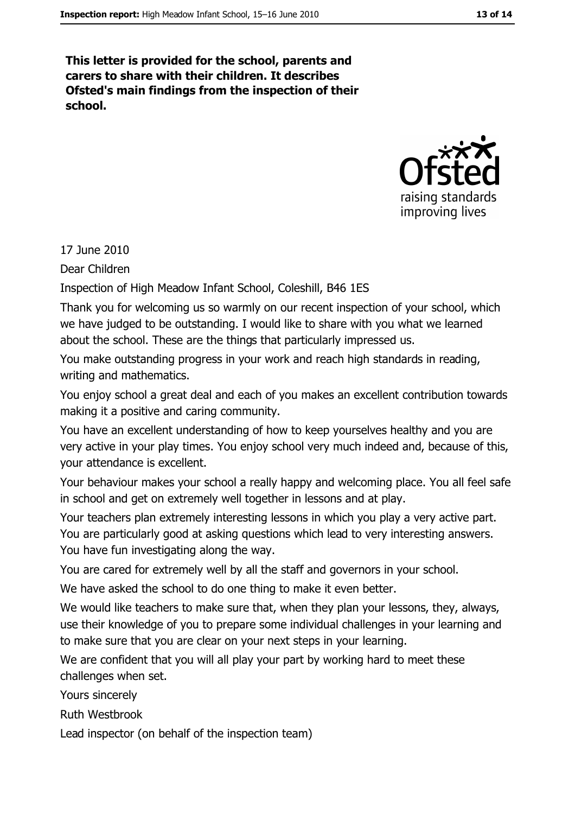This letter is provided for the school, parents and carers to share with their children. It describes Ofsted's main findings from the inspection of their school.



17 June 2010

Dear Children

Inspection of High Meadow Infant School, Coleshill, B46 1ES

Thank you for welcoming us so warmly on our recent inspection of your school, which we have judged to be outstanding. I would like to share with you what we learned about the school. These are the things that particularly impressed us.

You make outstanding progress in your work and reach high standards in reading, writing and mathematics.

You enjoy school a great deal and each of you makes an excellent contribution towards making it a positive and caring community.

You have an excellent understanding of how to keep vourselves healthy and you are very active in your play times. You enjoy school very much indeed and, because of this, your attendance is excellent.

Your behaviour makes your school a really happy and welcoming place. You all feel safe in school and get on extremely well together in lessons and at play.

Your teachers plan extremely interesting lessons in which you play a very active part. You are particularly good at asking questions which lead to very interesting answers. You have fun investigating along the way.

You are cared for extremely well by all the staff and governors in your school.

We have asked the school to do one thing to make it even better.

We would like teachers to make sure that, when they plan your lessons, they, always, use their knowledge of you to prepare some individual challenges in your learning and to make sure that you are clear on your next steps in your learning.

We are confident that you will all play your part by working hard to meet these challenges when set.

Yours sincerely

**Ruth Westbrook** 

Lead inspector (on behalf of the inspection team)